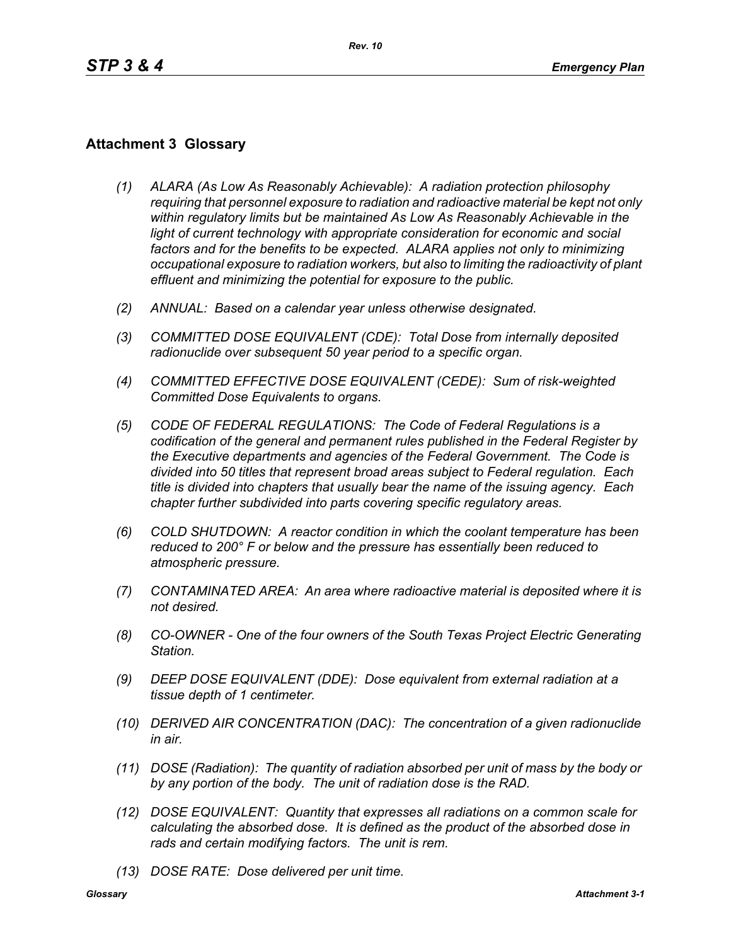## **Attachment 3 Glossary**

- *(1) ALARA (As Low As Reasonably Achievable): A radiation protection philosophy requiring that personnel exposure to radiation and radioactive material be kept not only within regulatory limits but be maintained As Low As Reasonably Achievable in the*  light of current technology with appropriate consideration for economic and social *factors and for the benefits to be expected. ALARA applies not only to minimizing occupational exposure to radiation workers, but also to limiting the radioactivity of plant effluent and minimizing the potential for exposure to the public.*
- *(2) ANNUAL: Based on a calendar year unless otherwise designated.*
- *(3) COMMITTED DOSE EQUIVALENT (CDE): Total Dose from internally deposited radionuclide over subsequent 50 year period to a specific organ.*
- *(4) COMMITTED EFFECTIVE DOSE EQUIVALENT (CEDE): Sum of risk-weighted Committed Dose Equivalents to organs.*
- *(5) CODE OF FEDERAL REGULATIONS: The Code of Federal Regulations is a codification of the general and permanent rules published in the Federal Register by the Executive departments and agencies of the Federal Government. The Code is divided into 50 titles that represent broad areas subject to Federal regulation. Each title is divided into chapters that usually bear the name of the issuing agency. Each chapter further subdivided into parts covering specific regulatory areas.*
- *(6) COLD SHUTDOWN: A reactor condition in which the coolant temperature has been reduced to 200° F or below and the pressure has essentially been reduced to atmospheric pressure.*
- *(7) CONTAMINATED AREA: An area where radioactive material is deposited where it is not desired.*
- *(8) CO-OWNER One of the four owners of the South Texas Project Electric Generating Station.*
- *(9) DEEP DOSE EQUIVALENT (DDE): Dose equivalent from external radiation at a tissue depth of 1 centimeter.*
- *(10) DERIVED AIR CONCENTRATION (DAC): The concentration of a given radionuclide in air.*
- *(11) DOSE (Radiation): The quantity of radiation absorbed per unit of mass by the body or by any portion of the body. The unit of radiation dose is the RAD.*
- *(12) DOSE EQUIVALENT: Quantity that expresses all radiations on a common scale for calculating the absorbed dose. It is defined as the product of the absorbed dose in rads and certain modifying factors. The unit is rem.*
- *(13) DOSE RATE: Dose delivered per unit time.*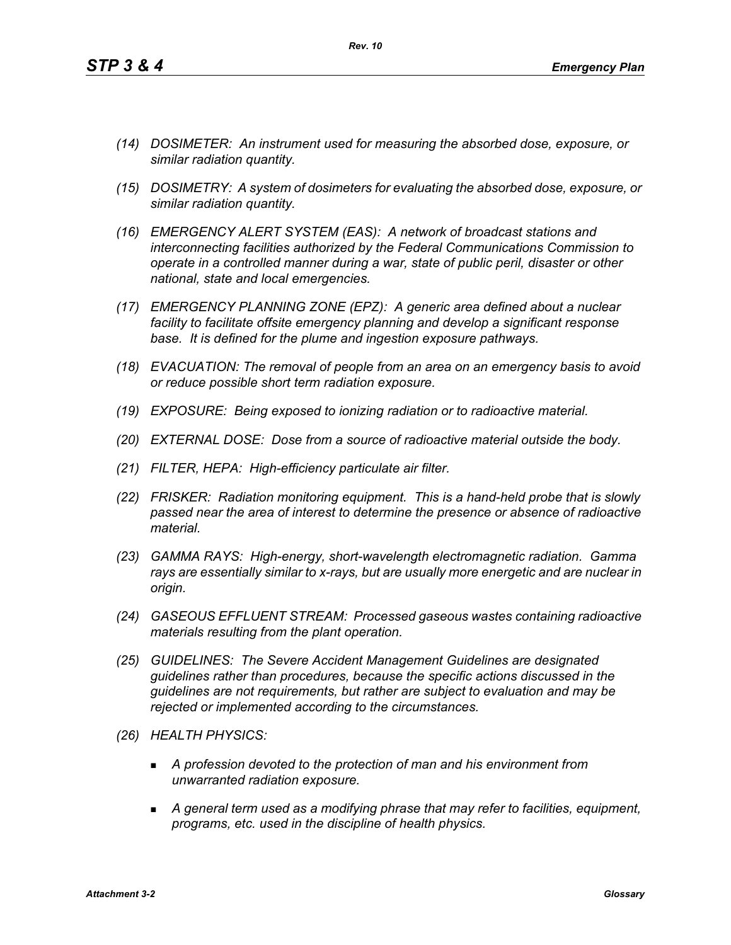- *(14) DOSIMETER: An instrument used for measuring the absorbed dose, exposure, or similar radiation quantity.*
- *(15) DOSIMETRY: A system of dosimeters for evaluating the absorbed dose, exposure, or similar radiation quantity.*
- *(16) EMERGENCY ALERT SYSTEM (EAS): A network of broadcast stations and interconnecting facilities authorized by the Federal Communications Commission to operate in a controlled manner during a war, state of public peril, disaster or other national, state and local emergencies.*
- *(17) EMERGENCY PLANNING ZONE (EPZ): A generic area defined about a nuclear facility to facilitate offsite emergency planning and develop a significant response base. It is defined for the plume and ingestion exposure pathways.*
- *(18) EVACUATION: The removal of people from an area on an emergency basis to avoid or reduce possible short term radiation exposure.*
- *(19) EXPOSURE: Being exposed to ionizing radiation or to radioactive material.*
- *(20) EXTERNAL DOSE: Dose from a source of radioactive material outside the body.*
- *(21) FILTER, HEPA: High-efficiency particulate air filter.*
- *(22) FRISKER: Radiation monitoring equipment. This is a hand-held probe that is slowly passed near the area of interest to determine the presence or absence of radioactive material.*
- *(23) GAMMA RAYS: High-energy, short-wavelength electromagnetic radiation. Gamma rays are essentially similar to x-rays, but are usually more energetic and are nuclear in origin.*
- *(24) GASEOUS EFFLUENT STREAM: Processed gaseous wastes containing radioactive materials resulting from the plant operation.*
- *(25) GUIDELINES: The Severe Accident Management Guidelines are designated guidelines rather than procedures, because the specific actions discussed in the guidelines are not requirements, but rather are subject to evaluation and may be rejected or implemented according to the circumstances.*
- *(26) HEALTH PHYSICS:*
	- *A profession devoted to the protection of man and his environment from unwarranted radiation exposure.*
	- *A general term used as a modifying phrase that may refer to facilities, equipment, programs, etc. used in the discipline of health physics.*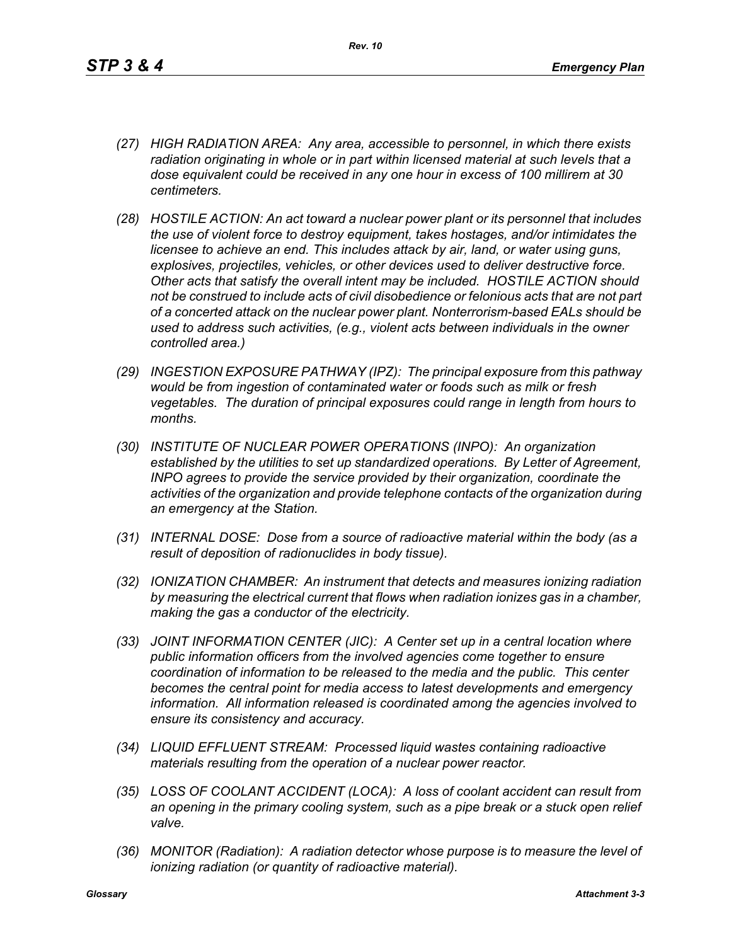- *(27) HIGH RADIATION AREA: Any area, accessible to personnel, in which there exists radiation originating in whole or in part within licensed material at such levels that a dose equivalent could be received in any one hour in excess of 100 millirem at 30 centimeters.*
- *(28) HOSTILE ACTION: An act toward a nuclear power plant or its personnel that includes the use of violent force to destroy equipment, takes hostages, and/or intimidates the licensee to achieve an end. This includes attack by air, land, or water using guns, explosives, projectiles, vehicles, or other devices used to deliver destructive force. Other acts that satisfy the overall intent may be included. HOSTILE ACTION should not be construed to include acts of civil disobedience or felonious acts that are not part of a concerted attack on the nuclear power plant. Nonterrorism-based EALs should be used to address such activities, (e.g., violent acts between individuals in the owner controlled area.)*
- *(29) INGESTION EXPOSURE PATHWAY (IPZ): The principal exposure from this pathway would be from ingestion of contaminated water or foods such as milk or fresh vegetables. The duration of principal exposures could range in length from hours to months.*
- *(30) INSTITUTE OF NUCLEAR POWER OPERATIONS (INPO): An organization established by the utilities to set up standardized operations. By Letter of Agreement, INPO agrees to provide the service provided by their organization, coordinate the activities of the organization and provide telephone contacts of the organization during an emergency at the Station.*
- *(31) INTERNAL DOSE: Dose from a source of radioactive material within the body (as a result of deposition of radionuclides in body tissue).*
- *(32) IONIZATION CHAMBER: An instrument that detects and measures ionizing radiation by measuring the electrical current that flows when radiation ionizes gas in a chamber, making the gas a conductor of the electricity.*
- *(33) JOINT INFORMATION CENTER (JIC): A Center set up in a central location where public information officers from the involved agencies come together to ensure coordination of information to be released to the media and the public. This center becomes the central point for media access to latest developments and emergency information. All information released is coordinated among the agencies involved to ensure its consistency and accuracy.*
- *(34) LIQUID EFFLUENT STREAM: Processed liquid wastes containing radioactive materials resulting from the operation of a nuclear power reactor.*
- *(35) LOSS OF COOLANT ACCIDENT (LOCA): A loss of coolant accident can result from an opening in the primary cooling system, such as a pipe break or a stuck open relief valve.*
- *(36) MONITOR (Radiation): A radiation detector whose purpose is to measure the level of ionizing radiation (or quantity of radioactive material).*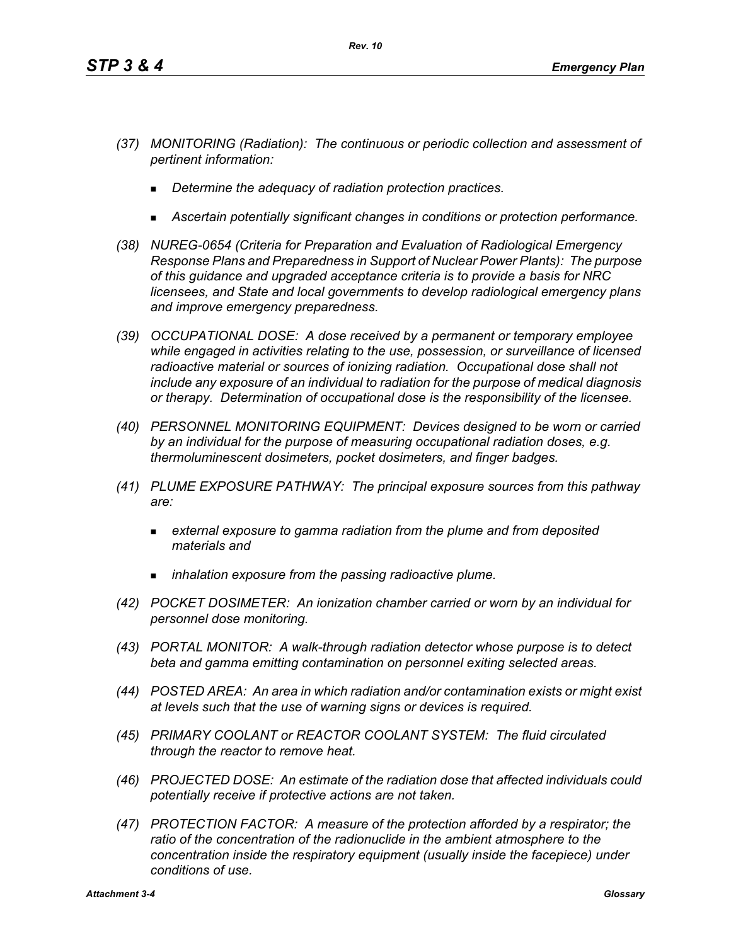- *(37) MONITORING (Radiation): The continuous or periodic collection and assessment of pertinent information:*
	- *Determine the adequacy of radiation protection practices.*
	- *Ascertain potentially significant changes in conditions or protection performance.*
- *(38) NUREG-0654 (Criteria for Preparation and Evaluation of Radiological Emergency Response Plans and Preparedness in Support of Nuclear Power Plants): The purpose of this guidance and upgraded acceptance criteria is to provide a basis for NRC licensees, and State and local governments to develop radiological emergency plans and improve emergency preparedness.*
- *(39) OCCUPATIONAL DOSE: A dose received by a permanent or temporary employee while engaged in activities relating to the use, possession, or surveillance of licensed radioactive material or sources of ionizing radiation. Occupational dose shall not include any exposure of an individual to radiation for the purpose of medical diagnosis or therapy. Determination of occupational dose is the responsibility of the licensee.*
- *(40) PERSONNEL MONITORING EQUIPMENT: Devices designed to be worn or carried by an individual for the purpose of measuring occupational radiation doses, e.g. thermoluminescent dosimeters, pocket dosimeters, and finger badges.*
- *(41) PLUME EXPOSURE PATHWAY: The principal exposure sources from this pathway are:*
	- *external exposure to gamma radiation from the plume and from deposited materials and*
	- *inhalation exposure from the passing radioactive plume.*
- *(42) POCKET DOSIMETER: An ionization chamber carried or worn by an individual for personnel dose monitoring.*
- *(43) PORTAL MONITOR: A walk-through radiation detector whose purpose is to detect beta and gamma emitting contamination on personnel exiting selected areas.*
- *(44) POSTED AREA: An area in which radiation and/or contamination exists or might exist at levels such that the use of warning signs or devices is required.*
- *(45) PRIMARY COOLANT or REACTOR COOLANT SYSTEM: The fluid circulated through the reactor to remove heat.*
- *(46) PROJECTED DOSE: An estimate of the radiation dose that affected individuals could potentially receive if protective actions are not taken.*
- *(47) PROTECTION FACTOR: A measure of the protection afforded by a respirator; the*  ratio of the concentration of the radionuclide in the ambient atmosphere to the *concentration inside the respiratory equipment (usually inside the facepiece) under conditions of use.*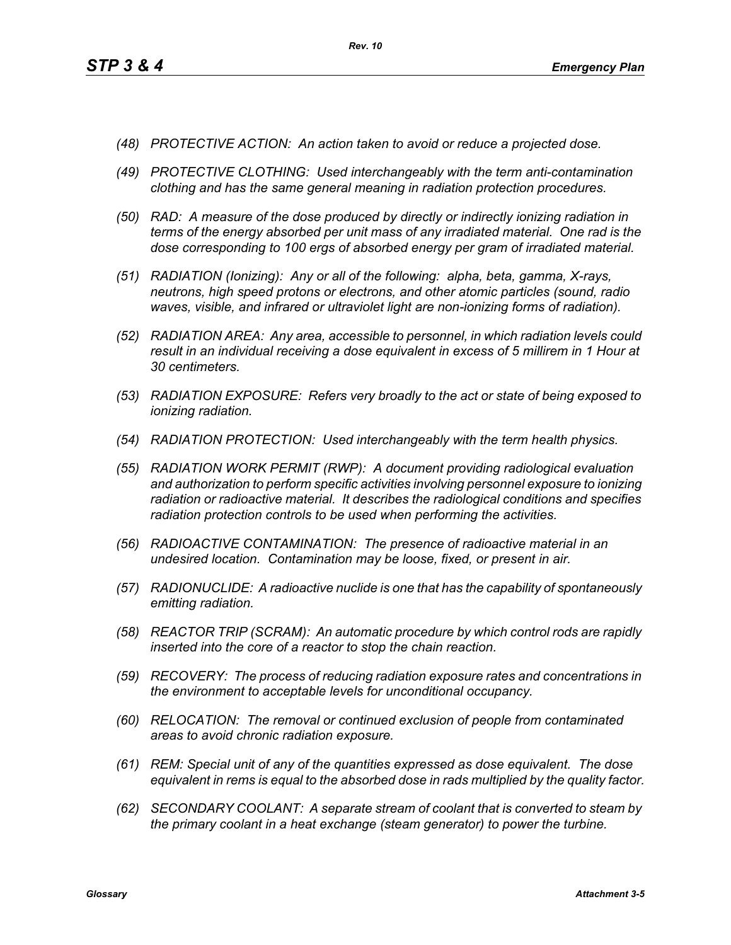- *(48) PROTECTIVE ACTION: An action taken to avoid or reduce a projected dose.*
- *(49) PROTECTIVE CLOTHING: Used interchangeably with the term anti-contamination clothing and has the same general meaning in radiation protection procedures.*
- *(50) RAD: A measure of the dose produced by directly or indirectly ionizing radiation in terms of the energy absorbed per unit mass of any irradiated material. One rad is the dose corresponding to 100 ergs of absorbed energy per gram of irradiated material.*
- *(51) RADIATION (Ionizing): Any or all of the following: alpha, beta, gamma, X-rays, neutrons, high speed protons or electrons, and other atomic particles (sound, radio waves, visible, and infrared or ultraviolet light are non-ionizing forms of radiation).*
- *(52) RADIATION AREA: Any area, accessible to personnel, in which radiation levels could result in an individual receiving a dose equivalent in excess of 5 millirem in 1 Hour at 30 centimeters.*
- *(53) RADIATION EXPOSURE: Refers very broadly to the act or state of being exposed to ionizing radiation.*
- *(54) RADIATION PROTECTION: Used interchangeably with the term health physics.*
- *(55) RADIATION WORK PERMIT (RWP): A document providing radiological evaluation and authorization to perform specific activities involving personnel exposure to ionizing radiation or radioactive material. It describes the radiological conditions and specifies radiation protection controls to be used when performing the activities.*
- *(56) RADIOACTIVE CONTAMINATION: The presence of radioactive material in an undesired location. Contamination may be loose, fixed, or present in air.*
- *(57) RADIONUCLIDE: A radioactive nuclide is one that has the capability of spontaneously emitting radiation.*
- *(58) REACTOR TRIP (SCRAM): An automatic procedure by which control rods are rapidly inserted into the core of a reactor to stop the chain reaction.*
- *(59) RECOVERY: The process of reducing radiation exposure rates and concentrations in the environment to acceptable levels for unconditional occupancy.*
- *(60) RELOCATION: The removal or continued exclusion of people from contaminated areas to avoid chronic radiation exposure.*
- *(61) REM: Special unit of any of the quantities expressed as dose equivalent. The dose equivalent in rems is equal to the absorbed dose in rads multiplied by the quality factor.*
- *(62) SECONDARY COOLANT: A separate stream of coolant that is converted to steam by the primary coolant in a heat exchange (steam generator) to power the turbine.*